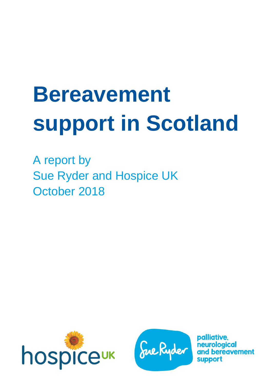# **Bereavement support in Scotland**

A report by Sue Ryder and Hospice UK October 2018





palliative. ological ereavement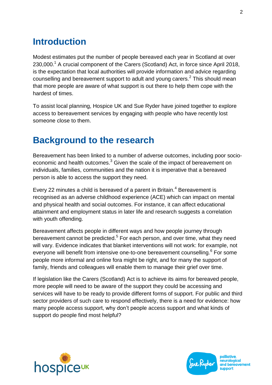## **Introduction**

Modest estimates put the number of people bereaved each year in Scotland at over 230,000.<sup>1</sup> A crucial component of the Carers (Scotland) Act, in force since April 2018, is the expectation that local authorities will provide information and advice regarding counselling and bereavement support to adult and young carers.<sup>2</sup> This should mean that more people are aware of what support is out there to help them cope with the hardest of times.

To assist local planning, Hospice UK and Sue Ryder have joined together to explore access to bereavement services by engaging with people who have recently lost someone close to them.

## **Background to the research**

Bereavement has been linked to a number of adverse outcomes, including poor socioeconomic and health outcomes.<sup>3</sup> Given the scale of the impact of bereavement on individuals, families, communities and the nation it is imperative that a bereaved person is able to access the support they need.

Every 22 minutes a child is bereaved of a parent in Britain.<sup>4</sup> Bereavement is recognised as an adverse childhood experience (ACE) which can impact on mental and physical health and social outcomes. For instance, it can affect educational attainment and employment status in later life and research suggests a correlation with youth offending.

Bereavement affects people in different ways and how people journey through bereavement cannot be predicted.<sup>5</sup> For each person, and over time, what they need will vary. Evidence indicates that blanket interventions will not work: for example, not everyone will benefit from intensive one-to-one bereavement counselling.<sup>6</sup> For some people more informal and online fora might be right, and for many the support of family, friends and colleagues will enable them to manage their grief over time.

If legislation like the Carers (Scotland) Act is to achieve its aims for bereaved people, more people will need to be aware of the support they could be accessing and services will have to be ready to provide different forms of support. For public and third sector providers of such care to respond effectively, there is a need for evidence: how many people access support, why don't people access support and what kinds of support do people find most helpful?



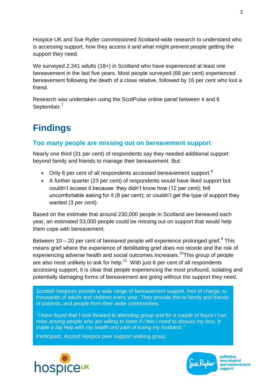Hospice UK and Sue Ryder commissioned Scotland-wide research to understand who is accessing support, how they access it and what might prevent people getting the support they need.

We surveyed 2,341 adults (18+) in Scotland who have experienced at least one bereavement in the last five years. Most people surveyed (68 per cent) experienced bereavement following the death of a close relative, followed by 16 per cent who lost a friend.

Research was undertaken using the ScotPulse online panel between 4 and 6 September.<sup>7</sup>

# **Findings**

#### **Too many people are missing out on bereavement support**

Nearly one third (31 per cent) of respondents say they needed additional support beyond family and friends to manage their bereavement. But:

- Only 6 per cent of all respondents accessed bereavement support. $8$
- A further quarter (23 per cent) of respondents would have liked support but couldn't access it because: they didn't know how (12 per cent); felt uncomfortable asking for it (8 per cent); or couldn't get the type of support they wanted (3 per cent).

Based on the estimate that around 230,000 people in Scotland are bereaved each year, an estimated 53,000 people could be missing out on support that would help them cope with bereavement.

Between 10  $-$  20 per cent of bereaved people will experience prolonged grief.  $9$  This means grief where the experience of debilitating grief does not recede and the risk of experiencing adverse health and social outcomes increases.<sup>10</sup>This group of people are also most unlikely to ask for help.<sup>11</sup> With just 6 per cent of all respondents accessing support, it is clear that people experiencing the most profound, isolating and potentially damaging forms of bereavement are going without the support they need.

Scottish hospices provide a wide range of bereavement support, free of charge, to thousands of adults and children every year. They provide this to family and friends of patients, and people from their wider communities.

*"I have found that I look forward to attending group and for a couple of hours I can relax among people who are willing to listen if I feel I need to discuss my loss. It made a big help with my health and pain of losing my husband."*

Participant, Accord Hospice peer support walking group.



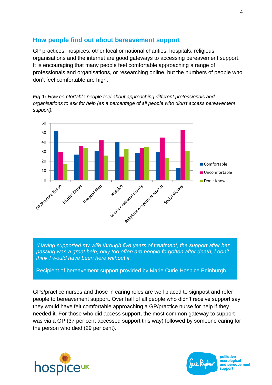#### **How people find out about bereavement support**

GP practices, hospices, other local or national charities, hospitals, religious organisations and the internet are good gateways to accessing bereavement support. It is encouraging that many people feel comfortable approaching a range of professionals and organisations, or researching online, but the numbers of people who don't feel comfortable are high.

*Fig 1: How comfortable people feel about approaching different professionals and organisations to ask for help (as a percentage of all people who didn't access bereavement support).*



*"Having supported my wife through five years of treatment, the support after her passing was a great help, only too often are people forgotten after death, I don't think I would have been here without it."*

Recipient of bereavement support provided by Marie Curie Hospice Edinburgh.

GPs/practice nurses and those in caring roles are well placed to signpost and refer people to bereavement support. Over half of all people who didn't receive support say they would have felt comfortable approaching a GP/practice nurse for help if they needed it. For those who did access support, the most common gateway to support was via a GP (37 per cent accessed support this way) followed by someone caring for the person who died (29 per cent).



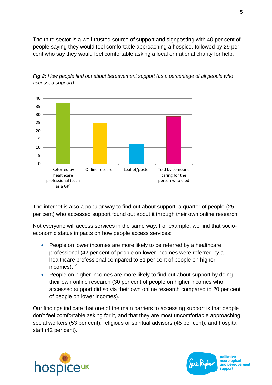The third sector is a well-trusted source of support and signposting with 40 per cent of people saying they would feel comfortable approaching a hospice, followed by 29 per cent who say they would feel comfortable asking a local or national charity for help.



*Fig 2: How people find out about bereavement support (as a percentage of all people who accessed support).*

The internet is also a popular way to find out about support: a quarter of people (25 per cent) who accessed support found out about it through their own online research.

Not everyone will access services in the same way. For example, we find that socioeconomic status impacts on how people access services:

- People on lower incomes are more likely to be referred by a healthcare professional (42 per cent of people on lower incomes were referred by a healthcare professional compared to 31 per cent of people on higher incomes). $12$
- People on higher incomes are more likely to find out about support by doing their own online research (30 per cent of people on higher incomes who accessed support did so via their own online research compared to 20 per cent of people on lower incomes).

Our findings indicate that one of the main barriers to accessing support is that people don't feel comfortable asking for it, and that they are most uncomfortable approaching social workers (53 per cent); religious or spiritual advisors (45 per cent); and hospital staff (42 per cent).



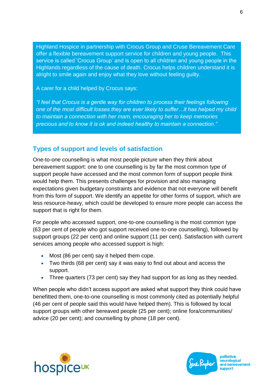Highland Hospice in partnership with Crocus Group and Cruse Bereavement Care offer a flexible bereavement support service for children and young people. This service is called 'Crocus Group' and is open to all children and young people in the Highlands regardless of the cause of death. Crocus helps children understand it is alright to smile again and enjoy what they love without feeling guilty.

A carer for a child helped by Crocus says:

*"I feel that Crocus is a gentle way for children to process their feelings following one of the most difficult losses they are ever likely to suffer…it has helped my child to maintain a connection with her mam, encouraging her to keep memories precious and to know it is ok and indeed healthy to maintain a connection."*

### **Types of support and levels of satisfaction**

One-to-one counselling is what most people picture when they think about bereavement support: one to one counselling is by far the most common type of support people have accessed and the most common form of support people think would help them. This presents challenges for provision and also managing expectations given budgetary constraints and evidence that not everyone will benefit from this form of support. We identify an appetite for other forms of support, which are less resource-heavy, which could be developed to ensure more people can access the support that is right for them.

For people who accessed support, one-to-one counselling is the most common type (63 per cent of people who got support received one-to-one counselling), followed by support groups (22 per cent) and online support (11 per cent). Satisfaction with current services among people who accessed support is high:

- Most (86 per cent) say it helped them cope.
- Two thirds (68 per cent) say it was easy to find out about and access the support.
- Three quarters (73 per cent) say they had support for as long as they needed.

When people who didn't access support are asked what support they think could have benefitted them, one-to-one counselling is most commonly cited as potentially helpful (46 per cent of people said this would have helped them). This is followed by local support groups with other bereaved people (25 per cent); online fora/communities/ advice (20 per cent); and counselling by phone (18 per cent).



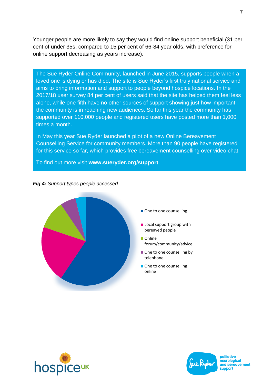Younger people are more likely to say they would find online support beneficial (31 per cent of under 35s, compared to 15 per cent of 66-84 year olds, with preference for online support decreasing as years increase).

The Sue Ryder Online Community, launched in June 2015, supports people when a loved one is dying or has died. The site is Sue Ryder's first truly national service and aims to bring information and support to people beyond hospice locations. In the 2017/18 user survey 84 per cent of users said that the site has helped them feel less alone, while one fifth have no other sources of support showing just how important the community is in reaching new audiences. So far this year the community has supported over 110,000 people and registered users have posted more than 1,000 times a month.

In May this year Sue Ryder launched a pilot of a new Online Bereavement Counselling Service for community members. More than 90 people have registered for this service so far, which provides free bereavement counselling over video chat.

To find out more visit **www.sueryder.org/support**.

#### *Fig 4: Support types people accessed*





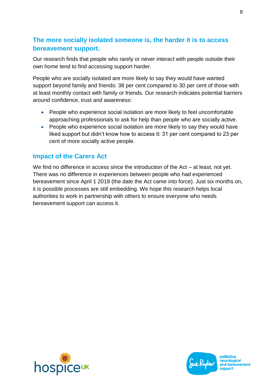## **The more socially isolated someone is, the harder it is to access bereavement support.**

Our research finds that people who rarely or never interact with people outside their own home tend to find accessing support harder.

People who are socially isolated are more likely to say they would have wanted support beyond family and friends: 38 per cent compared to 30 per cent of those with at least monthly contact with family or friends. Our research indicates potential barriers around confidence, trust and awareness:

- People who experience social isolation are more likely to feel uncomfortable approaching professionals to ask for help than people who are socially active.
- People who experience social isolation are more likely to say they would have liked support but didn't know how to access it: 31 per cent compared to 23 per cent of more socially active people.

#### **Impact of the Carers Act**

We find no difference in access since the introduction of the Act – at least, not yet. There was no difference in experiences between people who had experienced bereavement since April 1 2018 (the date the Act came into force). Just six months on, it is possible processes are still embedding. We hope this research helps local authorities to work in partnership with others to ensure everyone who needs bereavement support can access it.



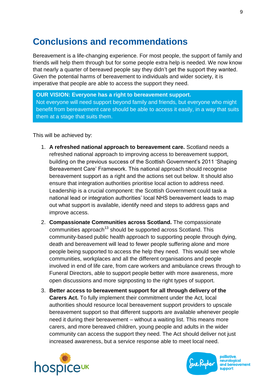## **Conclusions and recommendations**

Bereavement is a life-changing experience. For most people, the support of family and friends will help them through but for some people extra help is needed. We now know that nearly a quarter of bereaved people say they didn't get the support they wanted. Given the potential harms of bereavement to individuals and wider society, it is imperative that people are able to access the support they need.

**OUR VISION: Everyone has a right to bereavement support.**  Not everyone will need support beyond family and friends, but everyone who might benefit from bereavement care should be able to access it easily, in a way that suits them at a stage that suits them.

This will be achieved by:

- 1. **A refreshed national approach to bereavement care.** Scotland needs a refreshed national approach to improving access to bereavement support, building on the previous success of the Scottish Government's 2011 'Shaping Bereavement Care' Framework. This national approach should recognise bereavement support as a right and the actions set out below. It should also ensure that integration authorities prioritise local action to address need. Leadership is a crucial component: the Scottish Government could task a national lead or integration authorities' local NHS bereavement leads to map out what support is available, identify need and steps to address gaps and improve access.
- 2. **Compassionate Communities across Scotland.** The compassionate communities approach<sup>13</sup> should be supported across Scotland. This community-based public health approach to supporting people through dying, death and bereavement will lead to fewer people suffering alone and more people being supported to access the help they need. This would see whole communities, workplaces and all the different organisations and people involved in end of life care, from care workers and ambulance crews through to Funeral Directors, able to support people better with more awareness, more open discussions and more signposting to the right types of support.
- 3. **Better access to bereavement support for all through delivery of the Carers Act.** To fully implement their commitment under the Act, local authorities should resource local bereavement support providers to upscale bereavement support so that different supports are available whenever people need it during their bereavement – without a waiting list. This means more carers, and more bereaved children, young people and adults in the wider community can access the support they need. The Act should deliver not just increased awareness, but a service response able to meet local need.



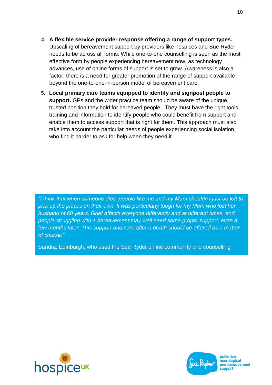- 4. **A flexible service provider response offering a range of support types.**  Upscaling of bereavement support by providers like hospices and Sue Ryder needs to be across all forms. While one-to-one counselling is seen as the most effective form by people experiencing bereavement now, as technology advances, use of online forms of support is set to grow. Awareness is also a factor: there is a need for greater promotion of the range of support available beyond the one-to-one-in-person model of bereavement care.
- 5. **Local primary care teams equipped to identify and signpost people to support.** GPs and the wider practice team should be aware of the unique, trusted position they hold for bereaved people.. They must have the right tools, training and information to identify people who could benefit from support and enable them to access support that is right for them. This approach must also take into account the particular needs of people experiencing social isolation, who find it harder to ask for help when they need it.

*"I think that when someone dies, people like me and my Mum shouldn't just be left to pick up the pieces on their own. It was particularly tough for my Mum who lost her husband of 60 years. Grief affects everyone differently and at different times, and people struggling with a bereavement may well need some proper support, even a few months later. This support and care after a death should be offered as a matter of course."*

Sandra, Edinburgh, who used the Sue Ryder online community and counselling